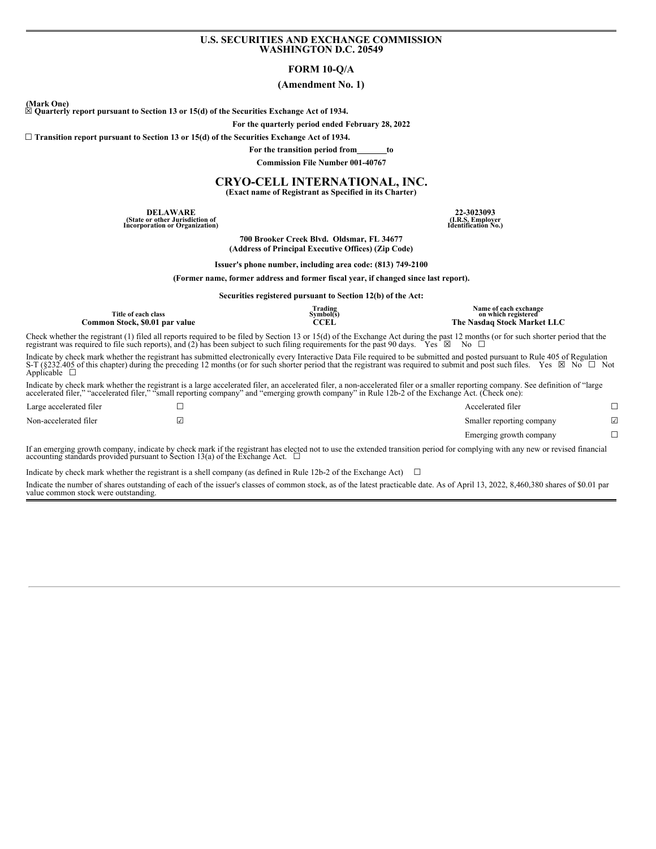### **U.S. SECURITIES AND EXCHANGE COMMISSION WASHINGTON D.C. 20549**

## **FORM 10-Q/A**

### **(Amendment No. 1)**

(Mark One)<br> $\boxtimes$  Quarterly report pursuant to Section 13 or 15(d) of the Securities Exchange Act of 1934.

**For the quarterly period ended February 28, 2022**

**☐ Transition report pursuant to Section 13 or 15(d) of the Securities Exchange Act of 1934.**

**For the transition period from to**

**Commission File Number 001-40767**

# **CRYO-CELL INTERNATIONAL, INC.**

**(Exact name of Registrant as Specified in its Charter)**

**DELAWARE 22-3023093 (State or other Jurisdiction of Incorporation or Organization)**

**(I.R.S. Employer Identification No.)**

**700 Brooker Creek Blvd. Oldsmar, FL 34677 (Address of Principal Executive Offices) (Zip Code)**

**Issuer's phone number, including area code: (813) 749-2100**

**(Former name, former address and former fiscal year, if changed since last report).**

**Securities registered pursuant to Section 12(b) of the Act:**

| Title of each class            | Trading<br>Symbol(s) | Name of each exchange<br>on which registered |  |
|--------------------------------|----------------------|----------------------------------------------|--|
| Common Stock, \$0.01 par value | CCEL                 | The Nasdag Stock Market LLC                  |  |

Check whether the registrant (1) filed all reports required to be filed by Section 13 or 15(d) of the Exchange Act during the past 12 months (or for such shorter period that the registrant was required to file such report

Indicate by check mark whether the registrant has submitted electronically every Interactive Data File required to be submitted and posted pursuant to Rule 405 of Regulation<br>S-T (§232.405 of this chapter) during the prece Applicable  $\square$ 

Indicate by check mark whether the registrant is a large accelerated filer, an accelerated filer, a non-accelerated filer or a smaller reporting company. See definition of "large accelerated filer," "accelerated filer," "s

| $\mathbf{r}$ $\alpha$   | $\cdots$ |  |                           | $\sim$ |
|-------------------------|----------|--|---------------------------|--------|
|                         |          |  | Emerging growth company   |        |
| Non-accelerated filer   | ا ک      |  | Smaller reporting company | ☑      |
| Large accelerated filer | _        |  | Accelerated filer         |        |

If an emerging growth company, indicate by check mark if the registrant has elected not to use the extended transition period for complying with any new or revised financial accounting standards provided pursuant to Secti

Indicate by check mark whether the registrant is a shell company (as defined in Rule 12b-2 of the Exchange Act)  $\Box$ 

Indicate the number of shares outstanding of each of the issuer's classes of common stock, as of the latest practicable date. As of April 13, 2022, 8,460,380 shares of \$0.01 par value common stock were outstanding.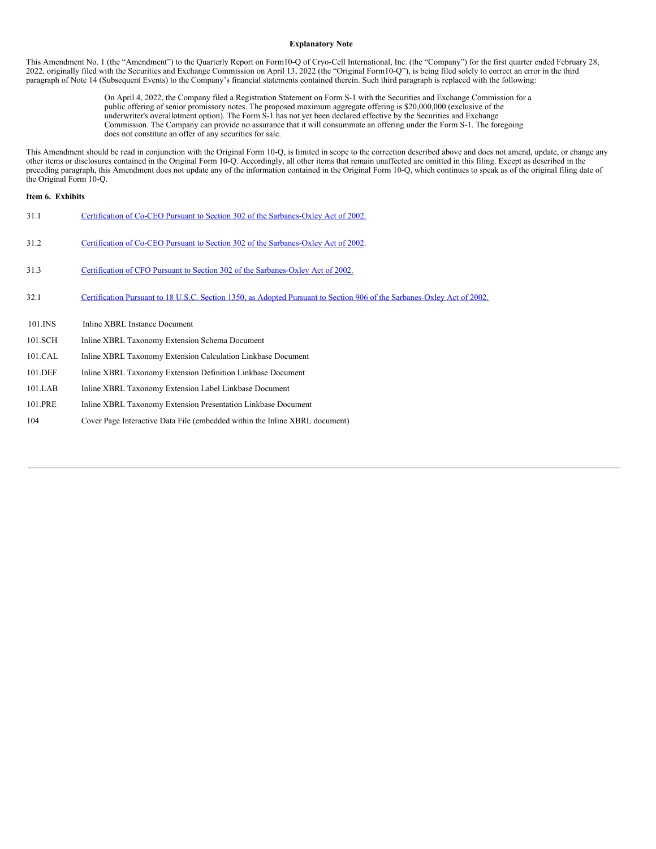#### **Explanatory Note**

This Amendment No. 1 (the "Amendment") to the Quarterly Report on Form10-Q of Cryo-Cell International, Inc. (the "Company") for the first quarter ended February 28, 2022, originally filed with the Securities and Exchange Commission on April 13, 2022 (the "Original Form10-Q"), is being filed solely to correct an error in the third paragraph of Note 14 (Subsequent Events) to the Company's financial statements contained therein. Such third paragraph is replaced with the following:

> On April 4, 2022, the Company filed a Registration Statement on Form S-1 with the Securities and Exchange Commission for a public offering of senior promissory notes. The proposed maximum aggregate offering is \$20,000,000 (exclusive of the underwriter's overallotment option). The Form S-1 has not yet been declared effective by the Securities and Exchange Commission. The Company can provide no assurance that it will consummate an offering under the Form S-1. The foregoing does not constitute an offer of any securities for sale.

This Amendment should be read in conjunction with the Original Form 10-Q, is limited in scope to the correction described above and does not amend, update, or change any other items or disclosures contained in the Original other items or disclosures contained in the Original Form 10-Q. Accordingly, all other items that remain unaffected are omitted in this filing. Except as described in the preceding paragraph, this Amendment does not update any of the information contained in the Original Form 10-Q, which continues to speak as of the original filing date of the Original Form 10-Q.

### **Item 6. Exhibits**

| 31.1    | Certification of Co-CEO Pursuant to Section 302 of the Sarbanes-Oxley Act of 2002.                                      |
|---------|-------------------------------------------------------------------------------------------------------------------------|
| 31.2    | Certification of Co-CEO Pursuant to Section 302 of the Sarbanes-Oxley Act of 2002.                                      |
| 31.3    | Certification of CFO Pursuant to Section 302 of the Sarbanes-Oxley Act of 2002.                                         |
| 32.1    | Certification Pursuant to 18 U.S.C. Section 1350, as Adopted Pursuant to Section 906 of the Sarbanes-Oxley Act of 2002. |
| 101.INS | Inline XBRL Instance Document                                                                                           |
| 101.SCH | Inline XBRL Taxonomy Extension Schema Document                                                                          |
| 101.CAL | Inline XBRL Taxonomy Extension Calculation Linkbase Document                                                            |
| 101.DEF | Inline XBRL Taxonomy Extension Definition Linkbase Document                                                             |
| 101.LAB | Inline XBRL Taxonomy Extension Label Linkbase Document                                                                  |
| 101.PRE | Inline XBRL Taxonomy Extension Presentation Linkbase Document                                                           |
| 104     | Cover Page Interactive Data File (embedded within the Inline XBRL document)                                             |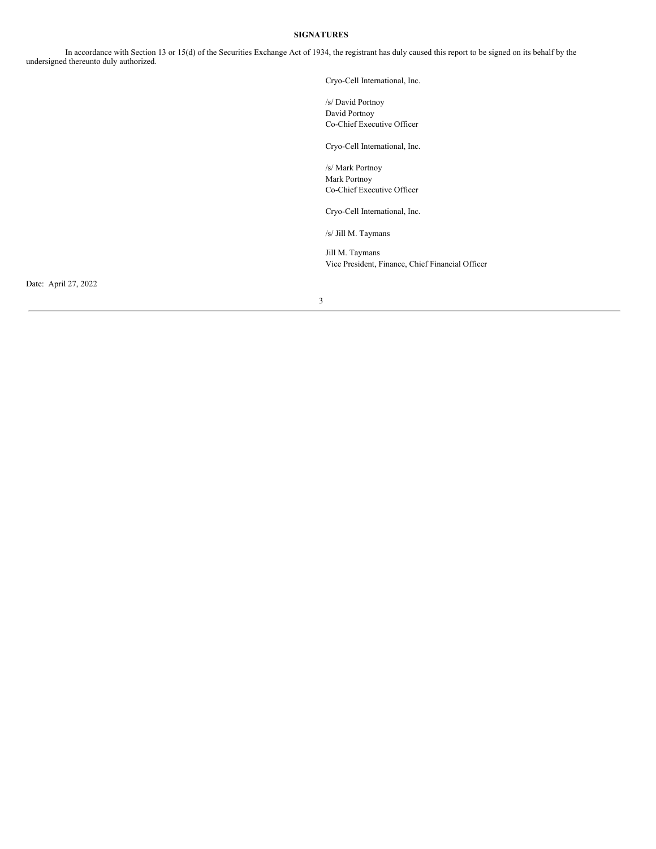# **SIGNATURES**

In accordance with Section 13 or 15(d) of the Securities Exchange Act of 1934, the registrant has duly caused this report to be signed on its behalf by the undersigned thereunto duly authorized.

Cryo-Cell International, Inc.

/s/ David Portnoy David Portnoy Co-Chief Executive Officer

Cryo-Cell International, Inc.

/s/ Mark Portnoy Mark Portnoy Co-Chief Executive Officer

Cryo-Cell International, Inc.

/s/ Jill M. Taymans

Jill M. Taymans Vice President, Finance, Chief Financial Officer

Date: April 27, 2022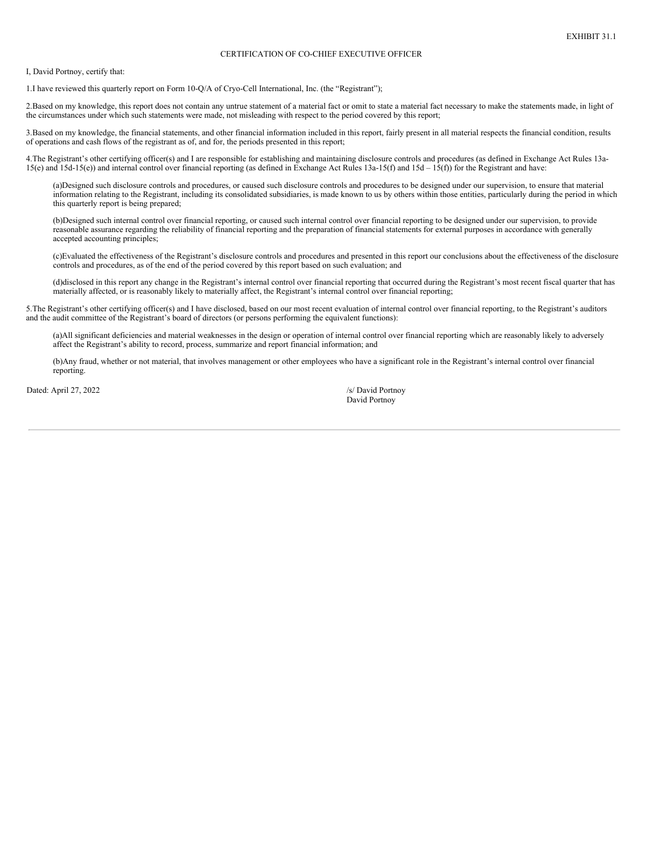### CERTIFICATION OF CO-CHIEF EXECUTIVE OFFICER

<span id="page-4-0"></span>I, David Portnoy, certify that:

1.I have reviewed this quarterly report on Form 10-Q/A of Cryo-Cell International, Inc. (the "Registrant");

2.Based on my knowledge, this report does not contain any untrue statement of a material fact or omit to state a material fact necessary to make the statements made, in light of the circumstances under which such statements were made, not misleading with respect to the period covered by this report;

3.Based on my knowledge, the financial statements, and other financial information included in this report, fairly present in all material respects the financial condition, results of operations and cash flows of the registrant as of, and for, the periods presented in this report;

4.The Registrant's other certifying officer(s) and I are responsible for establishing and maintaining disclosure controls and procedures (as defined in Exchange Act Rules 13a-15(e) and 15d-15(e)) and internal control over financial reporting (as defined in Exchange Act Rules 13a-15(f) and 15d – 15(f)) for the Registrant and have:

(a)Designed such disclosure controls and procedures, or caused such disclosure controls and procedures to be designed under our supervision, to ensure that material information relating to the Registrant, including its consolidated subsidiaries, is made known to us by others within those entities, particularly during the period in which this quarterly report is being prepared;

(b)Designed such internal control over financial reporting, or caused such internal control over financial reporting to be designed under our supervision, to provide reasonable assurance regarding the reliability of financial reporting and the preparation of financial statements for external purposes in accordance with generally accepted accounting principles;

(c)Evaluated the effectiveness of the Registrant's disclosure controls and procedures and presented in this report our conclusions about the effectiveness of the disclosure controls and procedures, as of the end of the period covered by this report based on such evaluation; and

(d)disclosed in this report any change in the Registrant's internal control over financial reporting that occurred during the Registrant's most recent fiscal quarter that has materially affected, or is reasonably likely to materially affect, the Registrant's internal control over financial reporting;

5.The Registrant's other certifying officer(s) and I have disclosed, based on our most recent evaluation of internal control over financial reporting, to the Registrant's auditors and the audit committee of the Registrant's board of directors (or persons performing the equivalent functions):

(a)All significant deficiencies and material weaknesses in the design or operation of internal control over financial reporting which are reasonably likely to adversely affect the Registrant's ability to record, process, summarize and report financial information; and

(b)Any fraud, whether or not material, that involves management or other employees who have a significant role in the Registrant's internal control over financial reporting.

Dated: April 27, 2022 /s/ David Portnoy

David Portnoy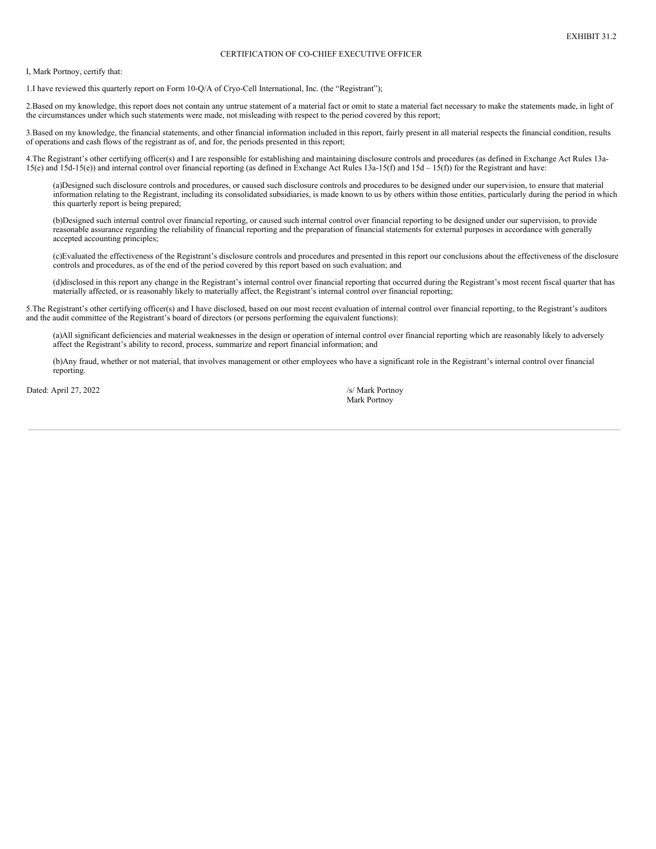### CERTIFICATION OF CO-CHIEF EXECUTIVE OFFICER

<span id="page-6-0"></span>I, Mark Portnoy, certify that:

1.I have reviewed this quarterly report on Form 10-Q/A of Cryo-Cell International, Inc. (the "Registrant");

2.Based on my knowledge, this report does not contain any untrue statement of a material fact or omit to state a material fact necessary to make the statements made, in light of the circumstances under which such statements were made, not misleading with respect to the period covered by this report;

3.Based on my knowledge, the financial statements, and other financial information included in this report, fairly present in all material respects the financial condition, results of operations and cash flows of the registrant as of, and for, the periods presented in this report;

4.The Registrant's other certifying officer(s) and I are responsible for establishing and maintaining disclosure controls and procedures (as defined in Exchange Act Rules 13a-15(e) and 15d-15(e)) and internal control over financial reporting (as defined in Exchange Act Rules 13a-15(f) and 15d – 15(f)) for the Registrant and have:

(a)Designed such disclosure controls and procedures, or caused such disclosure controls and procedures to be designed under our supervision, to ensure that material information relating to the Registrant, including its consolidated subsidiaries, is made known to us by others within those entities, particularly during the period in which this quarterly report is being prepared;

(b)Designed such internal control over financial reporting, or caused such internal control over financial reporting to be designed under our supervision, to provide reasonable assurance regarding the reliability of financial reporting and the preparation of financial statements for external purposes in accordance with generally accepted accounting principles;

(c)Evaluated the effectiveness of the Registrant's disclosure controls and procedures and presented in this report our conclusions about the effectiveness of the disclosure controls and procedures, as of the end of the period covered by this report based on such evaluation; and

(d)disclosed in this report any change in the Registrant's internal control over financial reporting that occurred during the Registrant's most recent fiscal quarter that has materially affected, or is reasonably likely to materially affect, the Registrant's internal control over financial reporting;

5.The Registrant's other certifying officer(s) and I have disclosed, based on our most recent evaluation of internal control over financial reporting, to the Registrant's auditors and the audit committee of the Registrant's board of directors (or persons performing the equivalent functions):

(a)All significant deficiencies and material weaknesses in the design or operation of internal control over financial reporting which are reasonably likely to adversely affect the Registrant's ability to record, process, summarize and report financial information; and

(b)Any fraud, whether or not material, that involves management or other employees who have a significant role in the Registrant's internal control over financial reporting.

Dated: April 27, 2022 /s/ Mark Portnoy

Mark Portnoy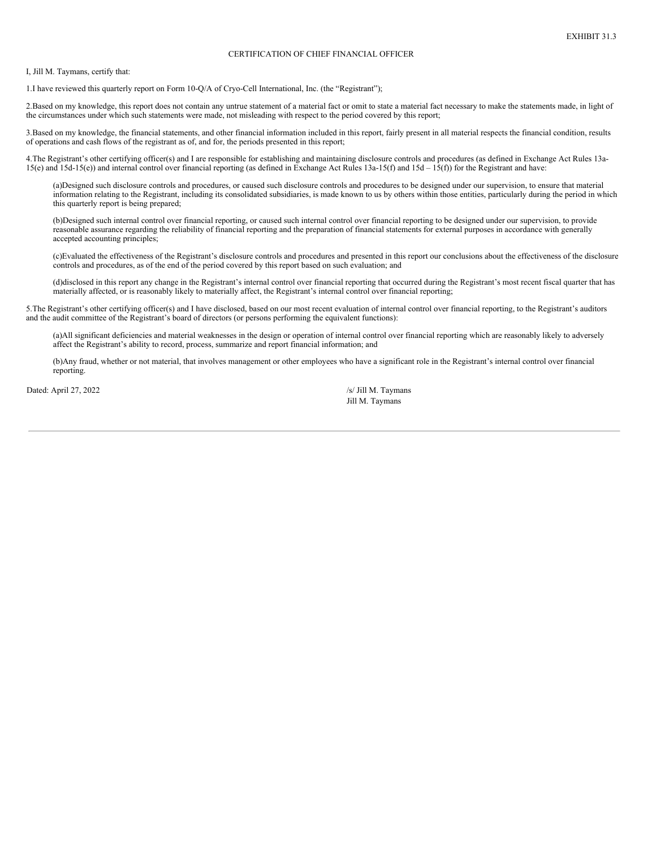### CERTIFICATION OF CHIEF FINANCIAL OFFICER

<span id="page-8-0"></span>I, Jill M. Taymans, certify that:

1.I have reviewed this quarterly report on Form 10-Q/A of Cryo-Cell International, Inc. (the "Registrant");

2.Based on my knowledge, this report does not contain any untrue statement of a material fact or omit to state a material fact necessary to make the statements made, in light of the circumstances under which such statements were made, not misleading with respect to the period covered by this report;

3.Based on my knowledge, the financial statements, and other financial information included in this report, fairly present in all material respects the financial condition, results of operations and cash flows of the registrant as of, and for, the periods presented in this report;

4.The Registrant's other certifying officer(s) and I are responsible for establishing and maintaining disclosure controls and procedures (as defined in Exchange Act Rules 13a-15(e) and 15d-15(e)) and internal control over financial reporting (as defined in Exchange Act Rules 13a-15(f) and 15d – 15(f)) for the Registrant and have:

(a)Designed such disclosure controls and procedures, or caused such disclosure controls and procedures to be designed under our supervision, to ensure that material information relating to the Registrant, including its consolidated subsidiaries, is made known to us by others within those entities, particularly during the period in which this quarterly report is being prepared;

(b)Designed such internal control over financial reporting, or caused such internal control over financial reporting to be designed under our supervision, to provide reasonable assurance regarding the reliability of financial reporting and the preparation of financial statements for external purposes in accordance with generally accepted accounting principles;

(c)Evaluated the effectiveness of the Registrant's disclosure controls and procedures and presented in this report our conclusions about the effectiveness of the disclosure controls and procedures, as of the end of the period covered by this report based on such evaluation; and

(d)disclosed in this report any change in the Registrant's internal control over financial reporting that occurred during the Registrant's most recent fiscal quarter that has materially affected, or is reasonably likely to materially affect, the Registrant's internal control over financial reporting;

5.The Registrant's other certifying officer(s) and I have disclosed, based on our most recent evaluation of internal control over financial reporting, to the Registrant's auditors and the audit committee of the Registrant's board of directors (or persons performing the equivalent functions):

(a)All significant deficiencies and material weaknesses in the design or operation of internal control over financial reporting which are reasonably likely to adversely affect the Registrant's ability to record, process, summarize and report financial information; and

(b)Any fraud, whether or not material, that involves management or other employees who have a significant role in the Registrant's internal control over financial reporting.

Dated: April 27, 2022 /s/ Jill M. Taymans

Jill M. Taymans